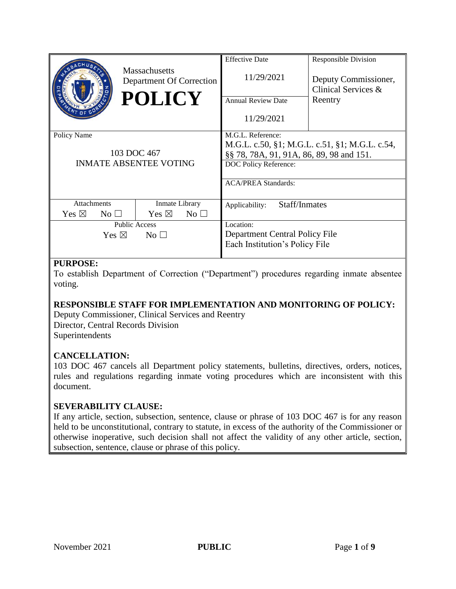|                                                                 |                | <b>Massachusetts</b><br>Department Of Correction<br><b>POLICY</b> |                 | <b>Effective Date</b><br>11/29/2021<br><b>Annual Review Date</b><br>11/29/2021                                                                                         | <b>Responsible Division</b><br>Deputy Commissioner,<br>Clinical Services &<br>Reentry |
|-----------------------------------------------------------------|----------------|-------------------------------------------------------------------|-----------------|------------------------------------------------------------------------------------------------------------------------------------------------------------------------|---------------------------------------------------------------------------------------|
| Policy Name<br>103 DOC 467<br><b>INMATE ABSENTEE VOTING</b>     |                |                                                                   |                 | M.G.L. Reference:<br>M.G.L. c.50, §1; M.G.L. c.51, §1; M.G.L. c.54,<br>§§ 78, 78A, 91, 91A, 86, 89, 98 and 151.<br>DOC Policy Reference:<br><b>ACA/PREA Standards:</b> |                                                                                       |
| <b>Attachments</b>                                              |                | Inmate Library                                                    |                 | Staff/Inmates<br>Applicability:                                                                                                                                        |                                                                                       |
| Yes $\boxtimes$                                                 | $\rm No \perp$ | Yes $\boxtimes$                                                   | No <sub>1</sub> |                                                                                                                                                                        |                                                                                       |
| <b>Public Access</b><br>Yes $\boxtimes$<br>$\rm No \,\,\square$ |                |                                                                   |                 | Location:<br>Department Central Policy File<br>Each Institution's Policy File                                                                                          |                                                                                       |
|                                                                 |                |                                                                   |                 |                                                                                                                                                                        |                                                                                       |

## **PURPOSE:**

To establish Department of Correction ("Department") procedures regarding inmate absentee voting.

## **RESPONSIBLE STAFF FOR IMPLEMENTATION AND MONITORING OF POLICY:**

Deputy Commissioner, Clinical Services and Reentry Director, Central Records Division **Superintendents** 

## **CANCELLATION:**

103 DOC 467 cancels all Department policy statements, bulletins, directives, orders, notices, rules and regulations regarding inmate voting procedures which are inconsistent with this document.

## **SEVERABILITY CLAUSE:**

If any article, section, subsection, sentence, clause or phrase of 103 DOC 467 is for any reason held to be unconstitutional, contrary to statute, in excess of the authority of the Commissioner or otherwise inoperative, such decision shall not affect the validity of any other article, section, subsection, sentence, clause or phrase of this policy.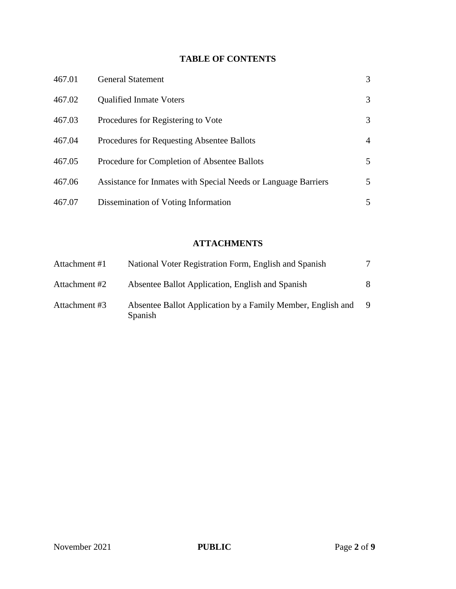# **TABLE OF CONTENTS**

| 467.01 | <b>General Statement</b>                                       | 3 |
|--------|----------------------------------------------------------------|---|
| 467.02 | <b>Qualified Inmate Voters</b>                                 | 3 |
| 467.03 | Procedures for Registering to Vote                             | 3 |
| 467.04 | Procedures for Requesting Absentee Ballots                     | 4 |
| 467.05 | Procedure for Completion of Absentee Ballots                   | 5 |
| 467.06 | Assistance for Inmates with Special Needs or Language Barriers | 5 |
| 467.07 | Dissemination of Voting Information                            | 5 |

# **ATTACHMENTS**

| Attachment #1 | National Voter Registration Form, English and Spanish                  | 7 |
|---------------|------------------------------------------------------------------------|---|
| Attachment #2 | Absentee Ballot Application, English and Spanish                       | 8 |
| Attachment #3 | Absentee Ballot Application by a Family Member, English and<br>Spanish | 9 |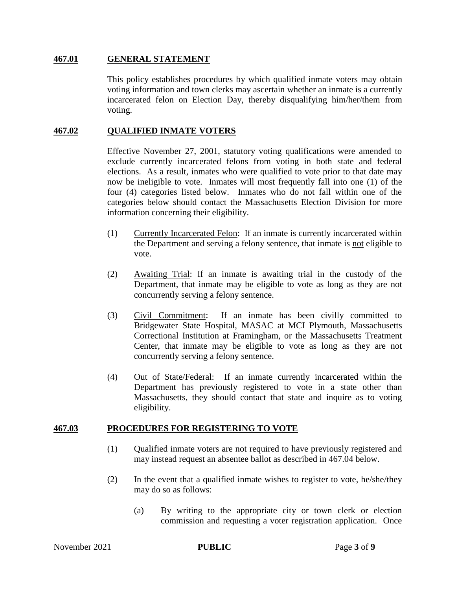#### **467.01 GENERAL STATEMENT**

This policy establishes procedures by which qualified inmate voters may obtain voting information and town clerks may ascertain whether an inmate is a currently incarcerated felon on Election Day, thereby disqualifying him/her/them from voting.

### **467.02 QUALIFIED INMATE VOTERS**

Effective November 27, 2001, statutory voting qualifications were amended to exclude currently incarcerated felons from voting in both state and federal elections. As a result, inmates who were qualified to vote prior to that date may now be ineligible to vote. Inmates will most frequently fall into one (1) of the four (4) categories listed below. Inmates who do not fall within one of the categories below should contact the Massachusetts Election Division for more information concerning their eligibility.

- (1) Currently Incarcerated Felon: If an inmate is currently incarcerated within the Department and serving a felony sentence, that inmate is not eligible to vote.
- (2) Awaiting Trial: If an inmate is awaiting trial in the custody of the Department, that inmate may be eligible to vote as long as they are not concurrently serving a felony sentence.
- (3) Civil Commitment: If an inmate has been civilly committed to Bridgewater State Hospital, MASAC at MCI Plymouth, Massachusetts Correctional Institution at Framingham, or the Massachusetts Treatment Center, that inmate may be eligible to vote as long as they are not concurrently serving a felony sentence.
- (4) Out of State/Federal: If an inmate currently incarcerated within the Department has previously registered to vote in a state other than Massachusetts, they should contact that state and inquire as to voting eligibility.

#### **467.03 PROCEDURES FOR REGISTERING TO VOTE**

- (1) Qualified inmate voters are not required to have previously registered and may instead request an absentee ballot as described in 467.04 below.
- (2) In the event that a qualified inmate wishes to register to vote, he/she/they may do so as follows:
	- (a) By writing to the appropriate city or town clerk or election commission and requesting a voter registration application. Once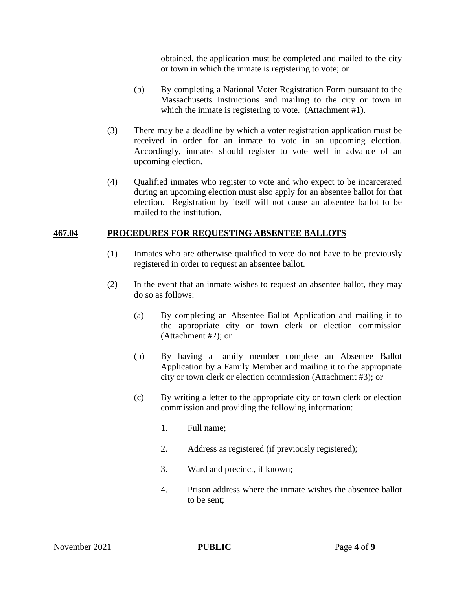obtained, the application must be completed and mailed to the city or town in which the inmate is registering to vote; or

- (b) By completing a National Voter Registration Form pursuant to the Massachusetts Instructions and mailing to the city or town in which the inmate is registering to vote. (Attachment #1).
- (3) There may be a deadline by which a voter registration application must be received in order for an inmate to vote in an upcoming election. Accordingly, inmates should register to vote well in advance of an upcoming election.
- (4) Qualified inmates who register to vote and who expect to be incarcerated during an upcoming election must also apply for an absentee ballot for that election. Registration by itself will not cause an absentee ballot to be mailed to the institution.

#### **467.04 PROCEDURES FOR REQUESTING ABSENTEE BALLOTS**

- (1) Inmates who are otherwise qualified to vote do not have to be previously registered in order to request an absentee ballot.
- (2) In the event that an inmate wishes to request an absentee ballot, they may do so as follows:
	- (a) By completing an Absentee Ballot Application and mailing it to the appropriate city or town clerk or election commission (Attachment #2); or
	- (b) By having a family member complete an Absentee Ballot Application by a Family Member and mailing it to the appropriate city or town clerk or election commission (Attachment #3); or
	- (c) By writing a letter to the appropriate city or town clerk or election commission and providing the following information:
		- 1. Full name;
		- 2. Address as registered (if previously registered);
		- 3. Ward and precinct, if known;
		- 4. Prison address where the inmate wishes the absentee ballot to be sent;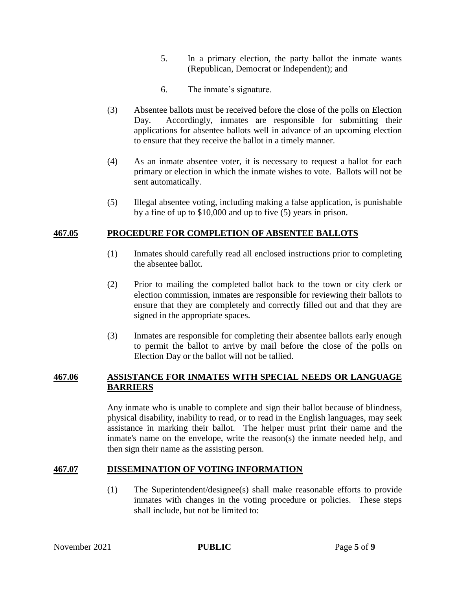- 5. In a primary election, the party ballot the inmate wants (Republican, Democrat or Independent); and
- 6. The inmate's signature.
- (3) Absentee ballots must be received before the close of the polls on Election Day. Accordingly, inmates are responsible for submitting their applications for absentee ballots well in advance of an upcoming election to ensure that they receive the ballot in a timely manner.
- (4) As an inmate absentee voter, it is necessary to request a ballot for each primary or election in which the inmate wishes to vote. Ballots will not be sent automatically.
- (5) Illegal absentee voting, including making a false application, is punishable by a fine of up to \$10,000 and up to five (5) years in prison.

## **467.05 PROCEDURE FOR COMPLETION OF ABSENTEE BALLOTS**

- (1) Inmates should carefully read all enclosed instructions prior to completing the absentee ballot.
- (2) Prior to mailing the completed ballot back to the town or city clerk or election commission, inmates are responsible for reviewing their ballots to ensure that they are completely and correctly filled out and that they are signed in the appropriate spaces.
- (3) Inmates are responsible for completing their absentee ballots early enough to permit the ballot to arrive by mail before the close of the polls on Election Day or the ballot will not be tallied.

## **467.06 ASSISTANCE FOR INMATES WITH SPECIAL NEEDS OR LANGUAGE BARRIERS**

Any inmate who is unable to complete and sign their ballot because of blindness, physical disability, inability to read, or to read in the English languages, may seek assistance in marking their ballot. The helper must print their name and the inmate's name on the envelope, write the reason(s) the inmate needed help, and then sign their name as the assisting person.

#### **467.07 DISSEMINATION OF VOTING INFORMATION**

(1) The Superintendent/designee(s) shall make reasonable efforts to provide inmates with changes in the voting procedure or policies. These steps shall include, but not be limited to: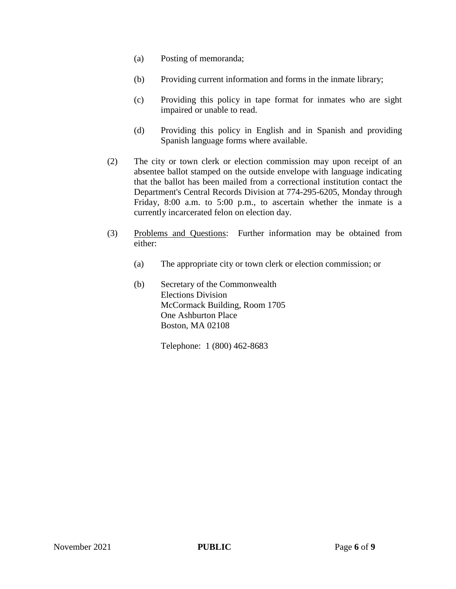- (a) Posting of memoranda;
- (b) Providing current information and forms in the inmate library;
- (c) Providing this policy in tape format for inmates who are sight impaired or unable to read.
- (d) Providing this policy in English and in Spanish and providing Spanish language forms where available.
- (2) The city or town clerk or election commission may upon receipt of an absentee ballot stamped on the outside envelope with language indicating that the ballot has been mailed from a correctional institution contact the Department's Central Records Division at 774-295-6205, Monday through Friday, 8:00 a.m. to 5:00 p.m., to ascertain whether the inmate is a currently incarcerated felon on election day.
- (3) Problems and Questions: Further information may be obtained from either:
	- (a) The appropriate city or town clerk or election commission; or
	- (b) Secretary of the Commonwealth Elections Division McCormack Building, Room 1705 One Ashburton Place Boston, MA 02108

Telephone: 1 (800) 462-8683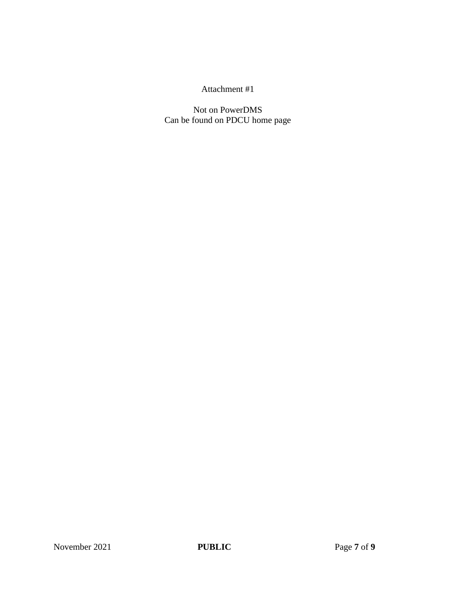# Attachment #1

Not on PowerDMS Can be found on PDCU home page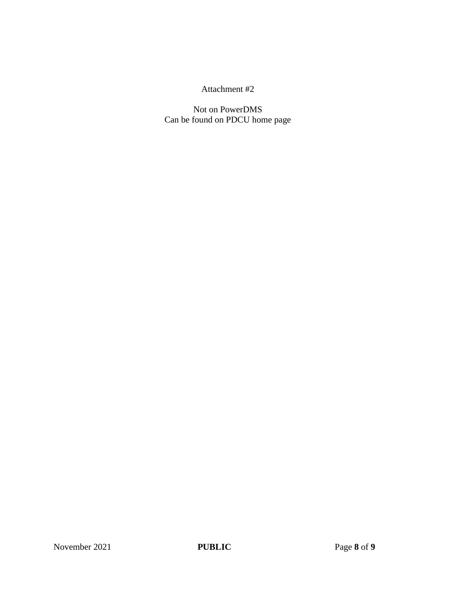## Attachment #2

Not on PowerDMS Can be found on PDCU home page